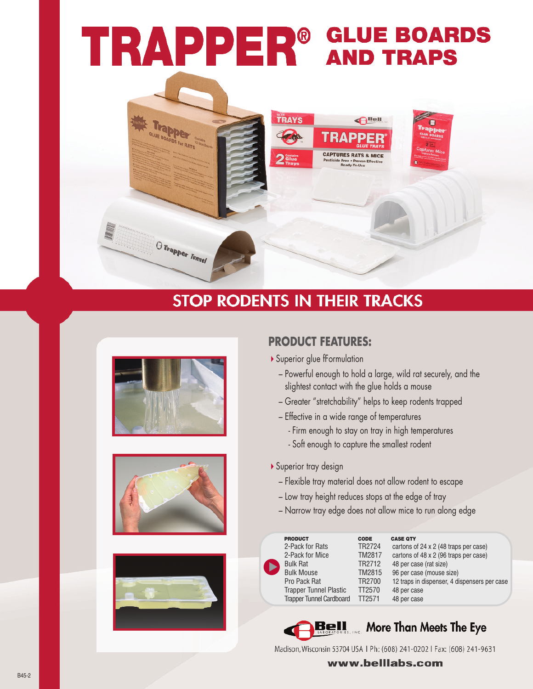# **TRAPPER<sup>®</sup> GLUE BOARDS**

**TRAYS** 

## **STOP RODENTS IN THEIR TRACKS**



Trapper

O Trapper Tunnel





#### **PRODUCT FEATURES:**

- Superior glue tFormulation
	- Powertul enough to hold a large, wild rat securely, and the slightest contact with the glue holds a mouse
	- Greater "stretchability" helps to keep rodents trapped

 $\bigoplus$  Bell

**CAPTURES RATS & MICE** 

- Ettective in a wide range ot temperatures
	- Firm enough to stay on tray in high temperatures
	- Soft enough to capture the smallest rodent
- ▶ Superior tray design
	- Flexible tray material does not allow rodent to escape
	- Low tray height reduces stops at the edge ot tray
	- Narrow tray edge does not allow mice to run along edge

| <b>PRODUCT</b>                  | <b>CODE</b>        |
|---------------------------------|--------------------|
| 2-Pack for Rats                 | TR2724             |
| 2-Pack for Mice                 | <b>TM2817</b>      |
| <b>Bulk Rat</b>                 | TR <sub>2712</sub> |
| <b>Bulk Mouse</b>               | <b>TM2815</b>      |
| Pro Pack Rat                    | TR2700             |
| <b>Trapper Tunnel Plastic</b>   | TT2570             |
| <b>Trapper Tunnel Cardboard</b> | TT <sub>2571</sub> |

**C A S E Q TY** cartons of 24 x 2 (48 traps per case) cartons of 48 x 2 (96 traps per case) TR2712 48 per case (rat size) TM2815 96 per case (mouse size) TR2700 12 traps in dispenser, 4 dispensers per case 48 per case 48 per case



 $\blacktriangleright$ 

### **Bell** More Than Meets The Eye

Madison, Wisconsin 53704 USA 1 Ph: (608) 241-0202 | Fax: (608) 241-9631

www.belllabs.com